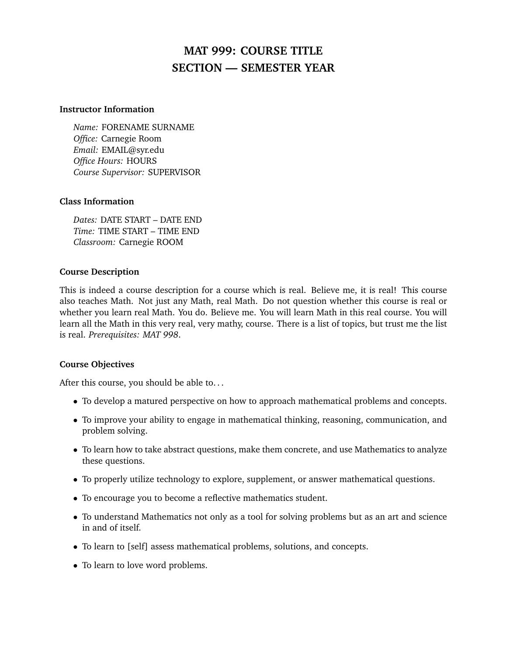# **MAT 999: COURSE TITLE SECTION — SEMESTER YEAR**

#### **Instructor Information**

*Name:* FORENAME SURNAME *Office:* Carnegie Room *Email:* EMAIL@syr.edu *Office Hours:* HOURS *Course Supervisor:* SUPERVISOR

#### **Class Information**

*Dates:* DATE START – DATE END *Time:* TIME START – TIME END *Classroom:* Carnegie ROOM

### **Course Description**

This is indeed a course description for a course which is real. Believe me, it is real! This course also teaches Math. Not just any Math, real Math. Do not question whether this course is real or whether you learn real Math. You do. Believe me. You will learn Math in this real course. You will learn all the Math in this very real, very mathy, course. There is a list of topics, but trust me the list is real. *Prerequisites: MAT 998*.

### **Course Objectives**

After this course, you should be able to...

- To develop a matured perspective on how to approach mathematical problems and concepts.
- To improve your ability to engage in mathematical thinking, reasoning, communication, and problem solving.
- To learn how to take abstract questions, make them concrete, and use Mathematics to analyze these questions.
- To properly utilize technology to explore, supplement, or answer mathematical questions.
- To encourage you to become a reflective mathematics student.
- To understand Mathematics not only as a tool for solving problems but as an art and science in and of itself.
- To learn to [self] assess mathematical problems, solutions, and concepts.
- To learn to love word problems.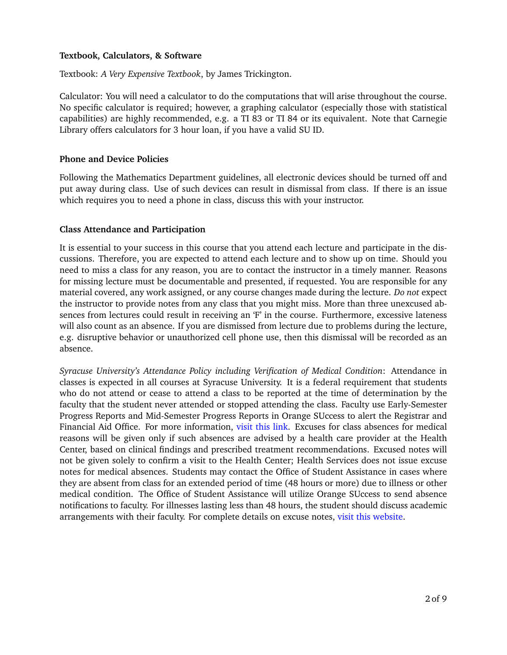## **Textbook, Calculators, & Software**

Textbook: *A Very Expensive Textbook*, by James Trickington.

Calculator: You will need a calculator to do the computations that will arise throughout the course. No specific calculator is required; however, a graphing calculator (especially those with statistical capabilities) are highly recommended, e.g. a TI 83 or TI 84 or its equivalent. Note that Carnegie Library offers calculators for 3 hour loan, if you have a valid SU ID.

# **Phone and Device Policies**

Following the Mathematics Department guidelines, all electronic devices should be turned off and put away during class. Use of such devices can result in dismissal from class. If there is an issue which requires you to need a phone in class, discuss this with your instructor.

# **Class Attendance and Participation**

It is essential to your success in this course that you attend each lecture and participate in the discussions. Therefore, you are expected to attend each lecture and to show up on time. Should you need to miss a class for any reason, you are to contact the instructor in a timely manner. Reasons for missing lecture must be documentable and presented, if requested. You are responsible for any material covered, any work assigned, or any course changes made during the lecture. *Do not* expect the instructor to provide notes from any class that you might miss. More than three unexcused absences from lectures could result in receiving an 'F' in the course. Furthermore, excessive lateness will also count as an absence. If you are dismissed from lecture due to problems during the lecture, e.g. disruptive behavior or unauthorized cell phone use, then this dismissal will be recorded as an absence.

*Syracuse University's Attendance Policy including Verification of Medical Condition*: Attendance in classes is expected in all courses at Syracuse University. It is a federal requirement that students who do not attend or cease to attend a class to be reported at the time of determination by the faculty that the student never attended or stopped attending the class. Faculty use Early-Semester Progress Reports and Mid-Semester Progress Reports in Orange SUccess to alert the Registrar and Financial Aid Office. For more information, [visit this link.](http://registrar.syr.edu/students/non-attendance/?_ga=2.260397263.311609789.1547331142-2140806708.1536285916) Excuses for class absences for medical reasons will be given only if such absences are advised by a health care provider at the Health Center, based on clinical findings and prescribed treatment recommendations. Excused notes will not be given solely to confirm a visit to the Health Center; Health Services does not issue excuse notes for medical absences. Students may contact the Office of Student Assistance in cases where they are absent from class for an extended period of time (48 hours or more) due to illness or other medical condition. The Office of Student Assistance will utilize Orange SUccess to send absence notifications to faculty. For illnesses lasting less than 48 hours, the student should discuss academic arrangements with their faculty. For complete details on excuse notes, [visit this website.](http://studentassistance.syr.edu/our-services/absence-notifications.html?_ga=2.260397263.311609789.1547331142-2140806708.1536285916)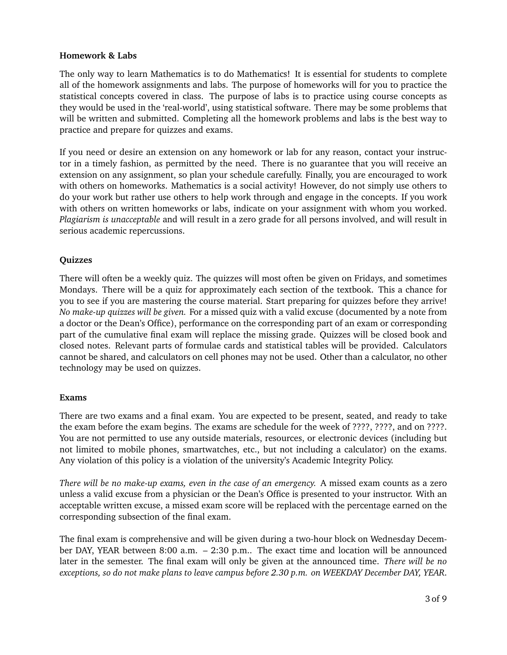# **Homework & Labs**

The only way to learn Mathematics is to do Mathematics! It is essential for students to complete all of the homework assignments and labs. The purpose of homeworks will for you to practice the statistical concepts covered in class. The purpose of labs is to practice using course concepts as they would be used in the 'real-world', using statistical software. There may be some problems that will be written and submitted. Completing all the homework problems and labs is the best way to practice and prepare for quizzes and exams.

If you need or desire an extension on any homework or lab for any reason, contact your instructor in a timely fashion, as permitted by the need. There is no guarantee that you will receive an extension on any assignment, so plan your schedule carefully. Finally, you are encouraged to work with others on homeworks. Mathematics is a social activity! However, do not simply use others to do your work but rather use others to help work through and engage in the concepts. If you work with others on written homeworks or labs, indicate on your assignment with whom you worked. *Plagiarism is unacceptable* and will result in a zero grade for all persons involved, and will result in serious academic repercussions.

# **Quizzes**

There will often be a weekly quiz. The quizzes will most often be given on Fridays, and sometimes Mondays. There will be a quiz for approximately each section of the textbook. This a chance for you to see if you are mastering the course material. Start preparing for quizzes before they arrive! *No make-up quizzes will be given.* For a missed quiz with a valid excuse (documented by a note from a doctor or the Dean's Office), performance on the corresponding part of an exam or corresponding part of the cumulative final exam will replace the missing grade. Quizzes will be closed book and closed notes. Relevant parts of formulae cards and statistical tables will be provided. Calculators cannot be shared, and calculators on cell phones may not be used. Other than a calculator, no other technology may be used on quizzes.

### **Exams**

There are two exams and a final exam. You are expected to be present, seated, and ready to take the exam before the exam begins. The exams are schedule for the week of ????, ????, and on ????. You are not permitted to use any outside materials, resources, or electronic devices (including but not limited to mobile phones, smartwatches, etc., but not including a calculator) on the exams. Any violation of this policy is a violation of the university's Academic Integrity Policy.

*There will be no make-up exams, even in the case of an emergency.* A missed exam counts as a zero unless a valid excuse from a physician or the Dean's Office is presented to your instructor. With an acceptable written excuse, a missed exam score will be replaced with the percentage earned on the corresponding subsection of the final exam.

The final exam is comprehensive and will be given during a two-hour block on Wednesday December DAY, YEAR between 8:00 a.m. – 2:30 p.m.. The exact time and location will be announced later in the semester. The final exam will only be given at the announced time. *There will be no exceptions, so do not make plans to leave campus before 2.30 p.m. on WEEKDAY December DAY, YEAR*.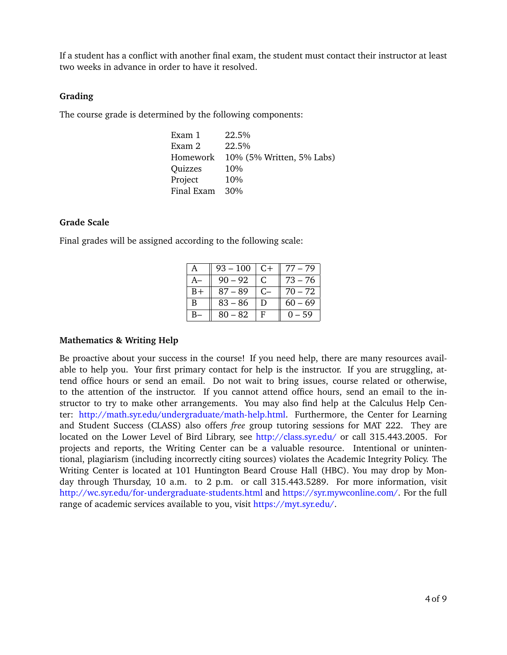If a student has a conflict with another final exam, the student must contact their instructor at least two weeks in advance in order to have it resolved.

#### **Grading**

The course grade is determined by the following components:

| Exam 1     | 22.5%                     |
|------------|---------------------------|
| Exam 2     | 22.5%                     |
| Homework   | 10% (5% Written, 5% Labs) |
| Quizzes    | 10%                       |
| Project    | 10%                       |
| Final Exam | 30%                       |

#### **Grade Scale**

Final grades will be assigned according to the following scale:

|    | $93 - 100$ | $C+$ | $77 - 79$ |
|----|------------|------|-----------|
|    | $90 - 92$  | C.   | 73 – 76   |
| B+ | $87 - 89$  | $C-$ | $70 - 72$ |
| B  | $83 - 86$  | Ð    | $60 - 69$ |
|    | 80 – 82    | F    | 0 – 59    |

#### **Mathematics & Writing Help**

Be proactive about your success in the course! If you need help, there are many resources available to help you. Your first primary contact for help is the instructor. If you are struggling, attend office hours or send an email. Do not wait to bring issues, course related or otherwise, to the attention of the instructor. If you cannot attend office hours, send an email to the instructor to try to make other arrangements. You may also find help at the Calculus Help Center: [http://math.syr.edu/undergraduate/math-help.html.](http://math.syr.edu/undergraduate/math-help.html) Furthermore, the Center for Learning and Student Success (CLASS) also offers *free* group tutoring sessions for MAT 222. They are located on the Lower Level of Bird Library, see <http://class.syr.edu/> or call 315.443.2005. For projects and reports, the Writing Center can be a valuable resource. Intentional or unintentional, plagiarism (including incorrectly citing sources) violates the Academic Integrity Policy. The Writing Center is located at 101 Huntington Beard Crouse Hall (HBC). You may drop by Monday through Thursday, 10 a.m. to 2 p.m. or call 315.443.5289. For more information, visit <http://wc.syr.edu/for-undergraduate-students.html> and [https://syr.mywconline.com/.](https://syr.mywconline.com/) For the full range of academic services available to you, visit [https://myt.syr.edu/.](https://myt.syr.edu/)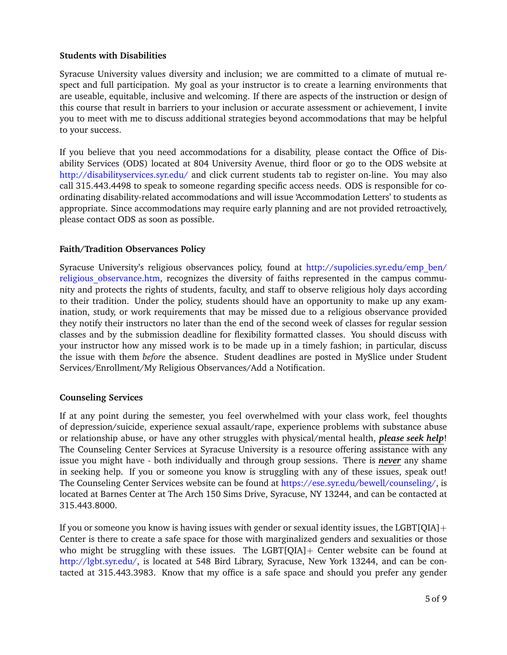# **Students with Disabilities**

Syracuse University values diversity and inclusion; we are committed to a climate of mutual respect and full participation. My goal as your instructor is to create a learning environments that are useable, equitable, inclusive and welcoming. If there are aspects of the instruction or design of this course that result in barriers to your inclusion or accurate assessment or achievement, I invite you to meet with me to discuss additional strategies beyond accommodations that may be helpful to your success.

If you believe that you need accommodations for a disability, please contact the Office of Disability Services (ODS) located at 804 University Avenue, third floor or go to the ODS website at <http://disabilityservices.syr.edu/> and click current students tab to register on-line. You may also call 315.443.4498 to speak to someone regarding specific access needs. ODS is responsible for coordinating disability-related accommodations and will issue 'Accommodation Letters' to students as appropriate. Since accommodations may require early planning and are not provided retroactively, please contact ODS as soon as possible.

# **Faith/Tradition Observances Policy**

Syracuse University's religious observances policy, found at [http://supolicies.syr.edu/emp\\_ben/](http://supolicies.syr.edu/emp_ben/religious_observance.htm) religious observance.htm, recognizes the diversity of faiths represented in the campus community and protects the rights of students, faculty, and staff to observe religious holy days according to their tradition. Under the policy, students should have an opportunity to make up any examination, study, or work requirements that may be missed due to a religious observance provided they notify their instructors no later than the end of the second week of classes for regular session classes and by the submission deadline for flexibility formatted classes. You should discuss with your instructor how any missed work is to be made up in a timely fashion; in particular, discuss the issue with them *before* the absence. Student deadlines are posted in MySlice under Student Services/Enrollment/My Religious Observances/Add a Notification.

### **Counseling Services**

If at any point during the semester, you feel overwhelmed with your class work, feel thoughts of depression/suicide, experience sexual assault/rape, experience problems with substance abuse or relationship abuse, or have any other struggles with physical/mental health, *please seek help*! The Counseling Center Services at Syracuse University is a resource offering assistance with any issue you might have - both individually and through group sessions. There is *never* any shame in seeking help. If you or someone you know is struggling with any of these issues, speak out! The Counseling Center Services website can be found at [https://ese.syr.edu/bewell/counseling/,](https://ese.syr.edu/bewell/counseling/) is located at Barnes Center at The Arch 150 Sims Drive, Syracuse, NY 13244, and can be contacted at 315.443.8000.

If you or someone you know is having issues with gender or sexual identity issues, the LGBT[QIA] $+$ Center is there to create a safe space for those with marginalized genders and sexualities or those who might be struggling with these issues. The LGBT[QIA]+ Center website can be found at [http://lgbt.syr.edu/,](http://lgbt.syr.edu/) is located at 548 Bird Library, Syracuse, New York 13244, and can be contacted at 315.443.3983. Know that my office is a safe space and should you prefer any gender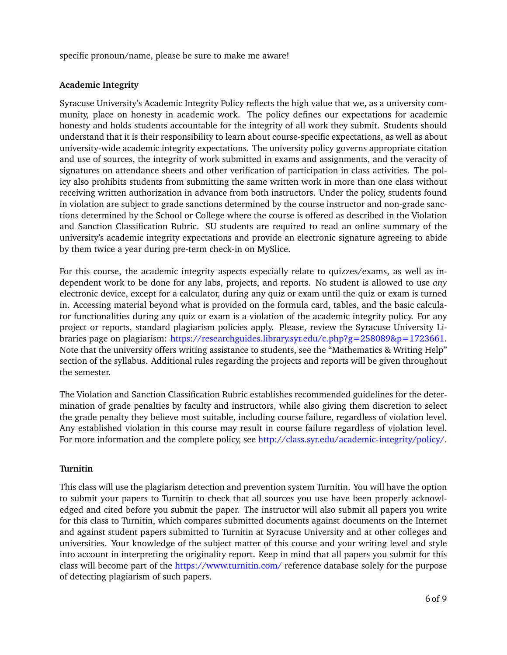specific pronoun/name, please be sure to make me aware!

# **Academic Integrity**

Syracuse University's Academic Integrity Policy reflects the high value that we, as a university community, place on honesty in academic work. The policy defines our expectations for academic honesty and holds students accountable for the integrity of all work they submit. Students should understand that it is their responsibility to learn about course-specific expectations, as well as about university-wide academic integrity expectations. The university policy governs appropriate citation and use of sources, the integrity of work submitted in exams and assignments, and the veracity of signatures on attendance sheets and other verification of participation in class activities. The policy also prohibits students from submitting the same written work in more than one class without receiving written authorization in advance from both instructors. Under the policy, students found in violation are subject to grade sanctions determined by the course instructor and non-grade sanctions determined by the School or College where the course is offered as described in the Violation and Sanction Classification Rubric. SU students are required to read an online summary of the university's academic integrity expectations and provide an electronic signature agreeing to abide by them twice a year during pre-term check-in on MySlice.

For this course, the academic integrity aspects especially relate to quizzes/exams, as well as independent work to be done for any labs, projects, and reports. No student is allowed to use *any* electronic device, except for a calculator, during any quiz or exam until the quiz or exam is turned in. Accessing material beyond what is provided on the formula card, tables, and the basic calculator functionalities during any quiz or exam is a violation of the academic integrity policy. For any project or reports, standard plagiarism policies apply. Please, review the Syracuse University Libraries page on plagiarism: [https://researchguides.library.syr.edu/c.php?g=258089&p=1723661.](https://researchguides.library.syr.edu/c.php?g=258089&p=1723661) Note that the university offers writing assistance to students, see the "Mathematics & Writing Help" section of the syllabus. Additional rules regarding the projects and reports will be given throughout the semester.

The Violation and Sanction Classification Rubric establishes recommended guidelines for the determination of grade penalties by faculty and instructors, while also giving them discretion to select the grade penalty they believe most suitable, including course failure, regardless of violation level. Any established violation in this course may result in course failure regardless of violation level. For more information and the complete policy, see [http://class.syr.edu/academic-integrity/policy/.](http://class.syr.edu/academic-integrity/policy/)

### **Turnitin**

This class will use the plagiarism detection and prevention system Turnitin. You will have the option to submit your papers to Turnitin to check that all sources you use have been properly acknowledged and cited before you submit the paper. The instructor will also submit all papers you write for this class to Turnitin, which compares submitted documents against documents on the Internet and against student papers submitted to Turnitin at Syracuse University and at other colleges and universities. Your knowledge of the subject matter of this course and your writing level and style into account in interpreting the originality report. Keep in mind that all papers you submit for this class will become part of the <https://www.turnitin.com/> reference database solely for the purpose of detecting plagiarism of such papers.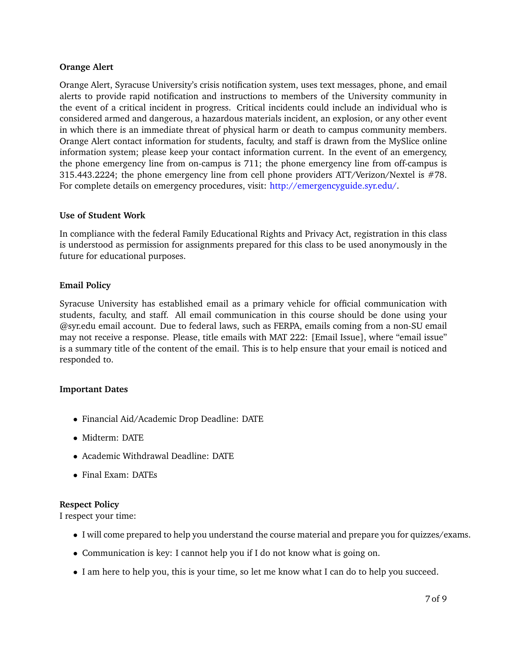# **Orange Alert**

Orange Alert, Syracuse University's crisis notification system, uses text messages, phone, and email alerts to provide rapid notification and instructions to members of the University community in the event of a critical incident in progress. Critical incidents could include an individual who is considered armed and dangerous, a hazardous materials incident, an explosion, or any other event in which there is an immediate threat of physical harm or death to campus community members. Orange Alert contact information for students, faculty, and staff is drawn from the MySlice online information system; please keep your contact information current. In the event of an emergency, the phone emergency line from on-campus is 711; the phone emergency line from off-campus is 315.443.2224; the phone emergency line from cell phone providers ATT/Verizon/Nextel is #78. For complete details on emergency procedures, visit: [http://emergencyguide.syr.edu/.](http://emergencyguide.syr.edu/)

### **Use of Student Work**

In compliance with the federal Family Educational Rights and Privacy Act, registration in this class is understood as permission for assignments prepared for this class to be used anonymously in the future for educational purposes.

# **Email Policy**

Syracuse University has established email as a primary vehicle for official communication with students, faculty, and staff. All email communication in this course should be done using your @syr.edu email account. Due to federal laws, such as FERPA, emails coming from a non-SU email may not receive a response. Please, title emails with MAT 222: [Email Issue], where "email issue" is a summary title of the content of the email. This is to help ensure that your email is noticed and responded to.

# **Important Dates**

- Financial Aid/Academic Drop Deadline: DATE
- Midterm: DATE
- Academic Withdrawal Deadline: DATE
- Final Exam: DATEs

# **Respect Policy**

I respect your time:

- I will come prepared to help you understand the course material and prepare you for quizzes/exams.
- Communication is key: I cannot help you if I do not know what is going on.
- I am here to help you, this is your time, so let me know what I can do to help you succeed.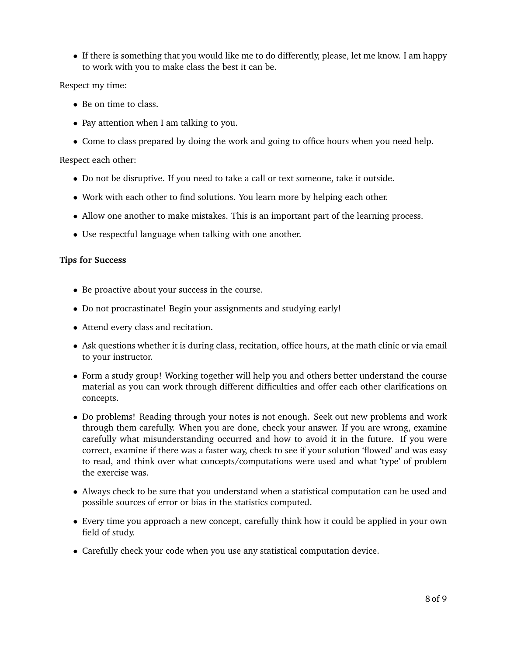• If there is something that you would like me to do differently, please, let me know. I am happy to work with you to make class the best it can be.

Respect my time:

- Be on time to class.
- Pay attention when I am talking to you.
- Come to class prepared by doing the work and going to office hours when you need help.

Respect each other:

- Do not be disruptive. If you need to take a call or text someone, take it outside.
- Work with each other to find solutions. You learn more by helping each other.
- Allow one another to make mistakes. This is an important part of the learning process.
- Use respectful language when talking with one another.

#### **Tips for Success**

- Be proactive about your success in the course.
- Do not procrastinate! Begin your assignments and studying early!
- Attend every class and recitation.
- Ask questions whether it is during class, recitation, office hours, at the math clinic or via email to your instructor.
- Form a study group! Working together will help you and others better understand the course material as you can work through different difficulties and offer each other clarifications on concepts.
- Do problems! Reading through your notes is not enough. Seek out new problems and work through them carefully. When you are done, check your answer. If you are wrong, examine carefully what misunderstanding occurred and how to avoid it in the future. If you were correct, examine if there was a faster way, check to see if your solution 'flowed' and was easy to read, and think over what concepts/computations were used and what 'type' of problem the exercise was.
- Always check to be sure that you understand when a statistical computation can be used and possible sources of error or bias in the statistics computed.
- Every time you approach a new concept, carefully think how it could be applied in your own field of study.
- Carefully check your code when you use any statistical computation device.